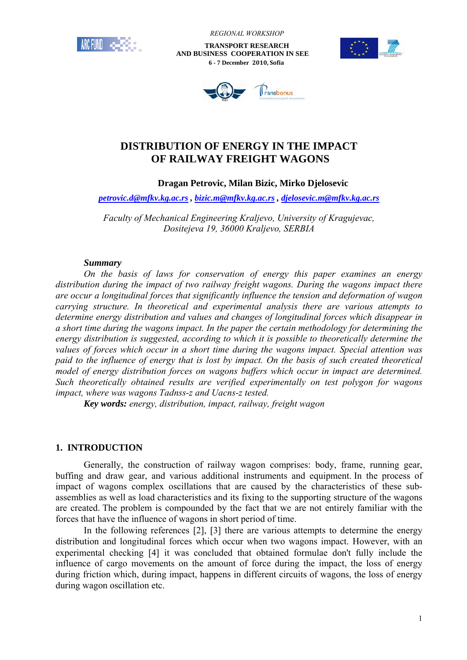

 *REGIONAL WORKSHOP*

 **TRANSPORT RESEARCH AND BUSINESS COOPERATION IN SEE 6 - 7 December 2010, Sofia**





# **DISTRIBUTION OF ENERGY IN THE IMPACT OF RAILWAY FREIGHT WAGONS**

## **Dragan Petrovic, Milan Bizic, Mirko Djelosevic**

*petrovic.d@mfkv.kg.ac.rs , bizic.m@mfkv.kg.ac.rs , djelosevic.m@mfkv.kg.ac.rs* 

*Faculty of Mechanical Engineering Kraljevo, University of Kragujevac, Dositejeva 19, 36000 Kraljevo, SERBIA* 

### *Summary*

*On the basis of laws for conservation of energy this paper examines an energy distribution during the impact of two railway freight wagons. During the wagons impact there are occur a longitudinal forces that significantly influence the tension and deformation of wagon carrying structure. In theoretical and experimental analysis there are various attempts to determine energy distribution and values and changes of longitudinal forces which disappear in a short time during the wagons impact. In the paper the certain methodology for determining the energy distribution is suggested, according to which it is possible to theoretically determine the values of forces which occur in a short time during the wagons impact. Special attention was paid to the influence of energy that is lost by impact. On the basis of such created theoretical model of energy distribution forces on wagons buffers which occur in impact are determined. Such theoretically obtained results are verified experimentally on test polygon for wagons impact, where was wagons Tadnss-z and Uacns-z tested.* 

*Key words: energy, distribution, impact, railway, freight wagon* 

### **1. INTRODUCTION**

Generally, the construction of railway wagon comprises: body, frame, running gear, buffing and draw gear, and various additional instruments and equipment. In the process of impact of wagons complex oscillations that are caused by the characteristics of these subassemblies as well as load characteristics and its fixing to the supporting structure of the wagons are created. The problem is compounded by the fact that we are not entirely familiar with the forces that have the influence of wagons in short period of time.

In the following references [2], [3] there are various attempts to determine the energy distribution and longitudinal forces which occur when two wagons impact. However, with an experimental checking [4] it was concluded that obtained formulae don't fully include the influence of cargo movements on the amount of force during the impact, the loss of energy during friction which, during impact, happens in different circuits of wagons, the loss of energy during wagon oscillation etc.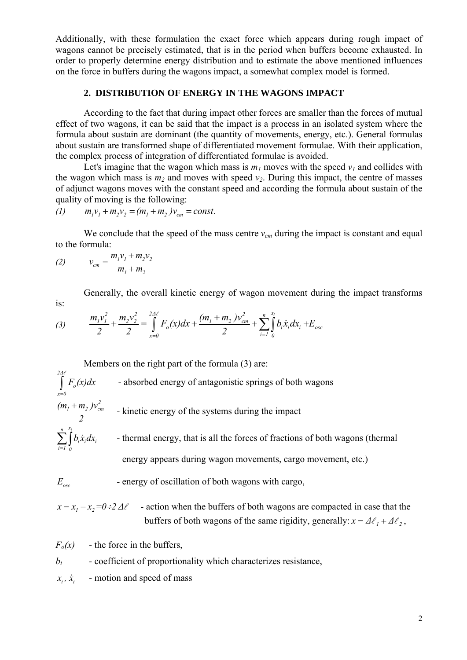Additionally, with these formulation the exact force which appears during rough impact of wagons cannot be precisely estimated, that is in the period when buffers become exhausted. In order to properly determine energy distribution and to estimate the above mentioned influences on the force in buffers during the wagons impact, a somewhat complex model is formed.

## **2. DISTRIBUTION OF ENERGY IN THE WAGONS IMPACT**

According to the fact that during impact other forces are smaller than the forces of mutual effect of two wagons, it can be said that the impact is a process in an isolated system where the formula about sustain are dominant (the quantity of movements, energy, etc.). General formulas about sustain are transformed shape of differentiated movement formulae. With their application, the complex process of integration of differentiated formulae is avoided.

Let's imagine that the wagon which mass is  $m_l$  moves with the speed  $v_l$  and collides with the wagon which mass is  $m_2$  and moves with speed  $v_2$ . During this impact, the centre of masses of adjunct wagons moves with the constant speed and according the formula about sustain of the quality of moving is the following:

$$
(1) \t m1v1 + m2v2 = (m1 + m2)vcm = const.
$$

We conclude that the speed of the mass centre  $v_{cm}$  during the impact is constant and equal to the formula:

(2) 
$$
v_{cm} = \frac{m_1 v_1 + m_2 v_2}{m_1 + m_2}
$$

is:

Generally, the overall kinetic energy of wagon movement during the impact transforms

(3) 
$$
\frac{m_1v_1^2}{2} + \frac{m_2v_2^2}{2} = \int_{x=0}^{2\Delta\ell} F_o(x)dx + \frac{(m_1 + m_2)v_{cm}^2}{2} + \sum_{i=1}^{n} \int_{0}^{x_i} b_i\dot{x}_i dx_i + E_{osc}
$$

Members on the right part of the formula (3) are:

$$
\int_{x=0}^{2A\ell} F_o(x) dx
$$
 - absorbed energy of antagonistic springs of both wagons

$$
\frac{(m_1 + m_2)v_{cm}^2}{2}
$$
 - kinetic energy of the systems during the impact

 $\sum_{i=I}$  $i^{\boldsymbol{\mathcal{M}}}_i$ u $\boldsymbol{\mathcal{M}}_i$ *i 1 0*  $b_i \dot{x}_i dx_i$  - thermal energy, that is all the forces of fractions of both wagons (thermal energy appears during wagon movements, cargo movement, etc.)

*E*<sub>osc</sub> - energy of oscillation of both wagons with cargo,

 $x = x_1 - x_2 = 0 \div 2 \Delta \ell$  - action when the buffers of both wagons are compacted in case that the buffers of both wagons of the same rigidity, generally:  $x = \Delta \ell_1 + \Delta \ell_2$ ,

 $F<sub>o</sub>(x)$  - the force in the buffers,

$$
b_i
$$
 - coefficient of proportionality which characterizes resistance,

 $\dot{x}_i$ ,  $\dot{x}_i$  - motion and speed of mass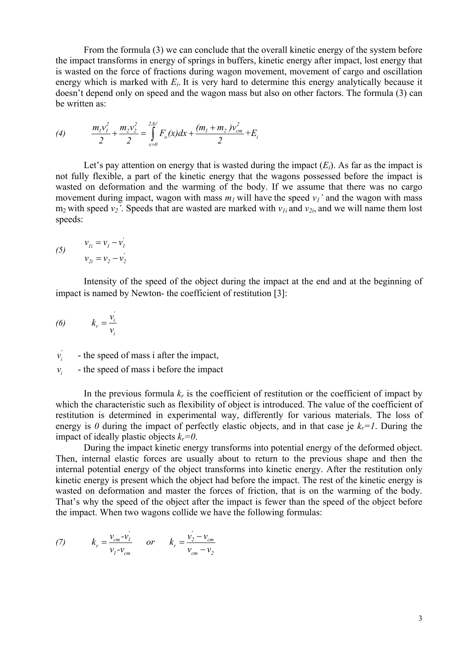From the formula (3) we can conclude that the overall kinetic energy of the system before the impact transforms in energy of springs in buffers, kinetic energy after impact, lost energy that is wasted on the force of fractions during wagon movement, movement of cargo and oscillation energy which is marked with *Ei*. It is very hard to determine this energy analytically because it doesn't depend only on speed and the wagon mass but also on other factors. The formula (3) can be written as:

(4) 
$$
\frac{m_1v_1^2}{2} + \frac{m_2v_2^2}{2} = \int_{x=0}^{24\ell} F_o(x)dx + \frac{(m_1 + m_2)v_{cm}^2}{2} + E_i
$$

Let's pay attention on energy that is wasted during the impact  $(E_i)$ . As far as the impact is not fully flexible, a part of the kinetic energy that the wagons possessed before the impact is wasted on deformation and the warming of the body. If we assume that there was no cargo movement during impact, wagon with mass  $m_l$  will have the speed  $v_l$ ' and the wagon with mass  $m_2$  with speed  $v_2$ '. Speeds that are wasted are marked with  $v_{1i}$  and  $v_{2i}$ , and we will name them lost speeds:

(5) 
$$
v_{1i} = v_1 - v_1' \n v_{2i} = v_2 - v_2'.
$$

 Intensity of the speed of the object during the impact at the end and at the beginning of impact is named by Newton- the coefficient of restitution [3]:

$$
(6) \qquad k_r = \frac{v_i}{v_i}
$$

*' <sup>i</sup> v* - the speed of mass i after the impact,

 $v_i$  - the speed of mass i before the impact

In the previous formula  $k_r$  is the coefficient of restitution or the coefficient of impact by which the characteristic such as flexibility of object is introduced. The value of the coefficient of restitution is determined in experimental way, differently for various materials. The loss of energy is 0 during the impact of perfectly elastic objects, and in that case je  $k_r=1$ . During the impact of ideally plastic objects  $k_r=0$ .

 During the impact kinetic energy transforms into potential energy of the deformed object. Then, internal elastic forces are usually about to return to the previous shape and then the internal potential energy of the object transforms into kinetic energy. After the restitution only kinetic energy is present which the object had before the impact. The rest of the kinetic energy is wasted on deformation and master the forces of friction, that is on the warming of the body. That's why the speed of the object after the impact is fewer than the speed of the object before the impact. When two wagons collide we have the following formulas:

(7) 
$$
k_r = \frac{v_{cm} - v_1'}{v_1 - v_{cm}}
$$
 or  $k_r = \frac{v_2' - v_{cm}}{v_{cm} - v_2}$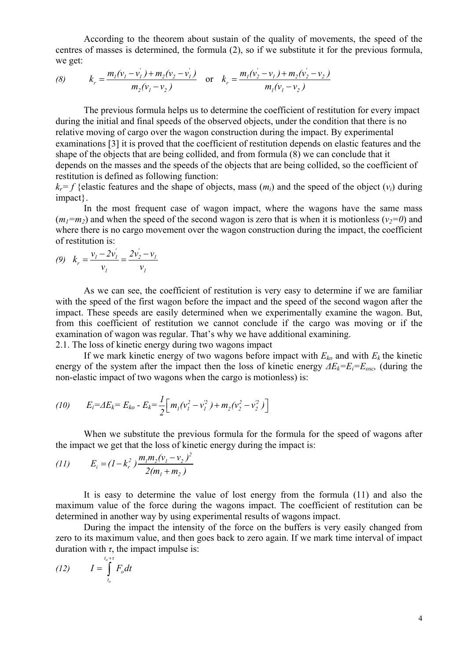According to the theorem about sustain of the quality of movements, the speed of the centres of masses is determined, the formula (2), so if we substitute it for the previous formula, we get:

(8) 
$$
k_r = \frac{m_1(v_1 - v_1') + m_2(v_2 - v_1')}{m_2(v_1 - v_2)} \text{ or } k_r = \frac{m_1(v_2' - v_1) + m_2(v_2' - v_2)}{m_1(v_1 - v_2)}
$$

 The previous formula helps us to determine the coefficient of restitution for every impact during the initial and final speeds of the observed objects, under the condition that there is no relative moving of cargo over the wagon construction during the impact. By experimental examinations [3] it is proved that the coefficient of restitution depends on elastic features and the shape of the objects that are being collided, and from formula (8) we can conclude that it depends on the masses and the speeds of the objects that are being collided, so the coefficient of restitution is defined as following function:

 $k_r = f$  {elastic features and the shape of objects, mass  $(m_i)$  and the speed of the object  $(v_i)$  during impact}.

 In the most frequent case of wagon impact, where the wagons have the same mass  $(m_1=m_2)$  and when the speed of the second wagon is zero that is when it is motionless  $(v_2=0)$  and where there is no cargo movement over the wagon construction during the impact, the coefficient of restitution is:

$$
(9) \quad k_r = \frac{v_1 - 2v_1'}{v_1} = \frac{2v_2' - v_1}{v_1}
$$

 As we can see, the coefficient of restitution is very easy to determine if we are familiar with the speed of the first wagon before the impact and the speed of the second wagon after the impact. These speeds are easily determined when we experimentally examine the wagon. But, from this coefficient of restitution we cannot conclude if the cargo was moving or if the examination of wagon was regular. That's why we have additional examining. 2.1. The loss of kinetic energy during two wagons impact

If we mark kinetic energy of two wagons before impact with  $E_{k_0}$  and with  $E_k$  the kinetic energy of the system after the impact then the loss of kinetic energy  $\Delta E_k = E_i = E_{osc}$ , (during the non-elastic impact of two wagons when the cargo is motionless) is:

(10) 
$$
E_i = \Delta E_k = E_{ko} - E_k = \frac{1}{2} \Big[ m_1 (v_1^2 - v_1^2) + m_2 (v_2^2 - v_2^2) \Big]
$$

 When we substitute the previous formula for the formula for the speed of wagons after the impact we get that the loss of kinetic energy during the impact is:

(11) 
$$
E_i = (1 - k_r^2) \frac{m_1 m_2 (v_1 - v_2)^2}{2(m_1 + m_2)}
$$

 It is easy to determine the value of lost energy from the formula (11) and also the maximum value of the force during the wagons impact. The coefficient of restitution can be determined in another way by using experimental results of wagons impact.

 During the impact the intensity of the force on the buffers is very easily changed from zero to its maximum value, and then goes back to zero again. If we mark time interval of impact duration with  $\tau$ , the impact impulse is:

$$
(12) \qquad I = \int_{t_o}^{t_o + \tau} F_o dt
$$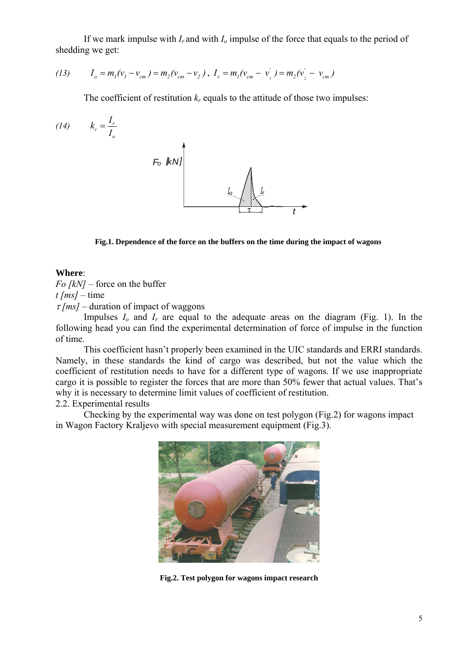If we mark impulse with *Ir* and with *Io* impulse of the force that equals to the period of shedding we get:

(13) 
$$
I_o = m_1(v_1 - v_{cm}) = m_2(v_{cm} - v_2), I_r = m_1(v_{cm} - v_1') = m_2(v_2' - v_{cm})
$$

The coefficient of restitution  $k_r$  equals to the attitude of those two impulses:

$$
(14) \t kr = \frac{I_r}{I_o}
$$

**Fig.1. Dependence of the force on the buffers on the time during the impact of wagons** 

#### **Where**:

*Fo [kN]* – force on the buffer  $t$  [*ms*] – time <sup>τ</sup> *[ms]* – duration of impact of waggons

Impulses  $I_0$  and  $I_r$  are equal to the adequate areas on the diagram (Fig. 1). In the following head you can find the experimental determination of force of impulse in the function of time.

 This coefficient hasn't properly been examined in the UIC standards and ERRI standards. Namely, in these standards the kind of cargo was described, but not the value which the coefficient of restitution needs to have for a different type of wagons. If we use inappropriate cargo it is possible to register the forces that are more than 50% fewer that actual values. That's why it is necessary to determine limit values of coefficient of restitution.

#### 2.2. Experimental results

 Checking by the experimental way was done on test polygon (Fig.2) for wagons impact in Wagon Factory Kraljevo with special measurement equipment (Fig.3).



**Fig.2. Test polygon for wagons impact research**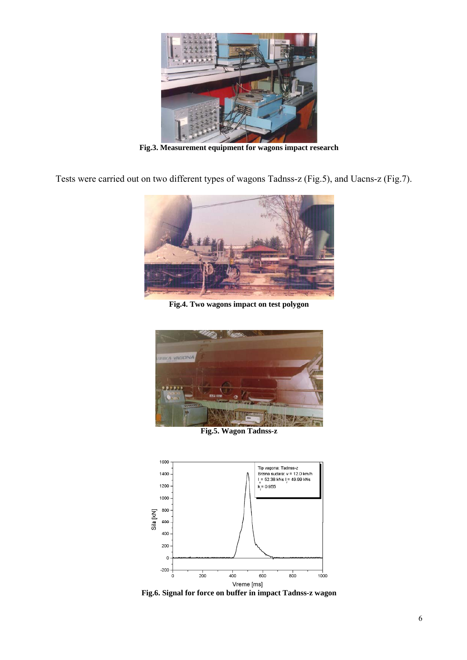

**Fig.3. Measurement equipment for wagons impact research** 

Tests were carried out on two different types of wagons Tadnss-z (Fig.5), and Uacns-z (Fig.7).



**Fig.4. Two wagons impact on test polygon** 



**Fig.5. Wagon Tadnss-z** 



**Fig.6. Signal for force on buffer in impact Tadnss-z wagon**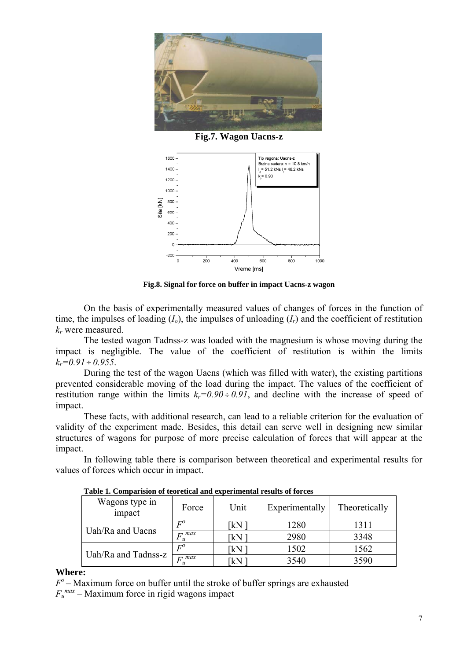

**Fig.7. Wagon Uacns-z** 



**Fig.8. Signal for force on buffer in impact Uacns-z wagon** 

On the basis of experimentally measured values of changes of forces in the function of time, the impulses of loading  $(I_0)$ , the impulses of unloading  $(I_r)$  and the coefficient of restitution *kr* were measured.

The tested wagon Tadnss-z was loaded with the magnesium is whose moving during the impact is negligible. The value of the coefficient of restitution is within the limits  $k_r=0.91 \div 0.955$ .

 During the test of the wagon Uacns (which was filled with water), the existing partitions prevented considerable moving of the load during the impact. The values of the coefficient of restitution range within the limits  $k_r=0.90 \div 0.91$ , and decline with the increase of speed of impact.

These facts, with additional research, can lead to a reliable criterion for the evaluation of validity of the experiment made. Besides, this detail can serve well in designing new similar structures of wagons for purpose of more precise calculation of forces that will appear at the impact.

In following table there is comparison between theoretical and experimental results for values of forces which occur in impact.

| Wagons type in<br>impact | Force               | Unit | Experimentally | Theoretically |
|--------------------------|---------------------|------|----------------|---------------|
| Uah/Ra and Uacns         | $\mathbf{\Gamma}^o$ | ΓkΝ  | 1280           | 1311          |
|                          | $F_u^{max}$         | IkN. | 2980           | 3348          |
| Uah/Ra and Tadnss-z      | $F^o$               | kN   | 1502           | 1562          |
|                          | $F_{\cdot}^{max}$   | kΝ   | 3540           | 3590          |

**Table 1. Comparision of teoretical and experimental results of forces** 

#### **Where:**

*Fo –* Maximum force on buffer until the stroke of buffer springs are exhausted  $F_u^{max}$  – Maximum force in rigid wagons impact